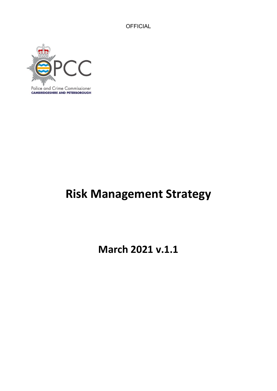

# **Risk Management Strategy**

**March 2021 v.1.1**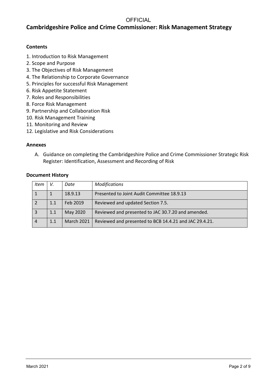## **Cambridgeshire Police and Crime Commissioner: Risk Management Strategy**

#### **Contents**

- 1. Introduction to Risk Management
- 2. Scope and Purpose
- 3. The Objectives of Risk Management
- 4. The Relationship to Corporate Governance
- 5. Principles for successful Risk Management
- 6. Risk Appetite Statement
- 7. Roles and Responsibilities
- 8. Force Risk Management
- 9. Partnership and Collaboration Risk
- 10. Risk Management Training
- 11. Monitoring and Review
- 12. Legislative and Risk Considerations

#### **Annexes**

A. Guidance on completing the Cambridgeshire Police and Crime Commissioner Strategic Risk Register: Identification, Assessment and Recording of Risk

#### **Document History**

| Item           | V.  | Date       | <b>Modifications</b>                                   |
|----------------|-----|------------|--------------------------------------------------------|
|                |     | 18.9.13    | Presented to Joint Audit Committee 18.9.13             |
|                | 1.1 | Feb 2019   | Reviewed and updated Section 7.5.                      |
| 3              | 1.1 | May 2020   | Reviewed and presented to JAC 30.7.20 and amended.     |
| $\overline{4}$ | 1.1 | March 2021 | Reviewed and presented to BCB 14.4.21 and JAC 29.4.21. |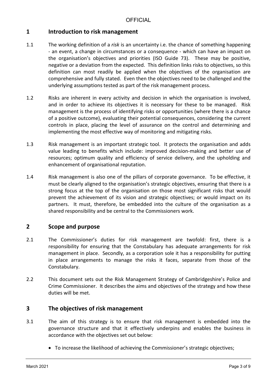## **1 Introduction to risk management**

- 1.1 The working definition of a *risk* is an uncertainty i.e. the chance of something happening - an event, a change in circumstances or a consequence - which can have an impact on the organisation's objectives and priorities (ISO Guide 73). These may be positive, negative or a deviation from the expected. This definition links risks to objectives, so this definition can most readily be applied when the objectives of the organisation are comprehensive and fully stated. Even then the objectives need to be challenged and the underlying assumptions tested as part of the risk management process.
- 1.2 Risks are inherent in every activity and decision in which the organisation is involved, and in order to achieve its objectives it is necessary for these to be managed. Risk management is the process of identifying risks or opportunities (where there is a chance of a positive outcome), evaluating their potential consequences, considering the current controls in place, placing the level of assurance on the control and determining and implementing the most effective way of monitoring and mitigating risks.
- 1.3 Risk management is an important strategic tool. It protects the organisation and adds value leading to benefits which include: improved decision-making and better use of resources; optimum quality and efficiency of service delivery, and the upholding and enhancement of organisational reputation.
- 1.4 Risk management is also one of the pillars of corporate governance. To be effective, it must be clearly aligned to the organisation's strategic objectives, ensuring that there is a strong focus at the top of the organisation on those most significant risks that would prevent the achievement of its vision and strategic objectives; or would impact on its partners. It must, therefore, be embedded into the culture of the organisation as a shared responsibility and be central to the Commissioners work.

## **2 Scope and purpose**

- 2.1 The Commissioner's duties for risk management are twofold: first, there is a responsibility for ensuring that the Constabulary has adequate arrangements for risk management in place. Secondly, as a corporation sole it has a responsibility for putting in place arrangements to manage the risks it faces, separate from those of the Constabulary.
- 2.2 This document sets out the Risk Management Strategy of Cambridgeshire's Police and Crime Commissioner. It describes the aims and objectives of the strategy and how these duties will be met.

#### **3 The objectives of risk management**

- 3.1 The aim of this strategy is to ensure that risk management is embedded into the governance structure and that it effectively underpins and enables the business in accordance with the objectives set out below:
	- To increase the likelihood of achieving the Commissioner's strategic objectives;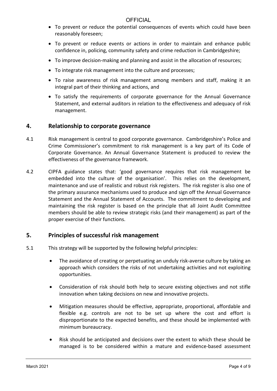- To prevent or reduce the potential consequences of events which could have been reasonably foreseen;
- To prevent or reduce events or actions in order to maintain and enhance public confidence in, policing, community safety and crime reduction in Cambridgeshire;
- To improve decision-making and planning and assist in the allocation of resources;
- To integrate risk management into the culture and processes;
- To raise awareness of risk management among members and staff, making it an integral part of their thinking and actions, and
- To satisfy the requirements of corporate governance for the Annual Governance Statement, and external auditors in relation to the effectiveness and adequacy of risk management.

## **4. Relationship to corporate governance**

- 4.1 Risk management is central to good corporate governance. Cambridgeshire's Police and Crime Commissioner's commitment to risk management is a key part of its Code of Corporate Governance. An Annual Governance Statement is produced to review the effectiveness of the governance framework.
- 4.2 CIPFA guidance states that: 'good governance requires that risk management be embedded into the culture of the organisation'. This relies on the development, maintenance and use of realistic and robust risk registers. The risk register is also one of the primary assurance mechanisms used to produce and sign off the Annual Governance Statement and the Annual Statement of Accounts. The commitment to developing and maintaining the risk register is based on the principle that all Joint Audit Committee members should be able to review strategic risks (and their management) as part of the proper exercise of their functions.

#### **5. Principles of successful risk management**

- 5.1 This strategy will be supported by the following helpful principles:
	- The avoidance of creating or perpetuating an unduly risk-averse culture by taking an approach which considers the risks of not undertaking activities and not exploiting opportunities.
	- Consideration of risk should both help to secure existing objectives and not stifle innovation when taking decisions on new and innovative projects.
	- Mitigation measures should be effective, appropriate, proportional, affordable and flexible e.g. controls are not to be set up where the cost and effort is disproportionate to the expected benefits, and these should be implemented with minimum bureaucracy.
	- Risk should be anticipated and decisions over the extent to which these should be managed is to be considered within a mature and evidence-based assessment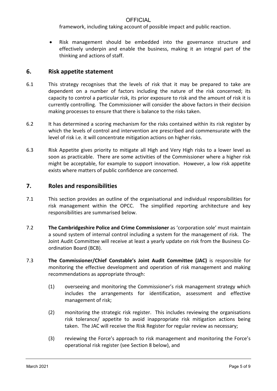framework, including taking account of possible impact and public reaction.

• Risk management should be embedded into the governance structure and effectively underpin and enable the business, making it an integral part of the thinking and actions of staff.

#### **6. Risk appetite statement**

- 6.1 This strategy recognises that the levels of risk that it may be prepared to take are dependent on a number of factors including the nature of the risk concerned; its capacity to control a particular risk, its prior exposure to risk and the amount of risk it is currently controlling. The Commissioner will consider the above factors in their decision making processes to ensure that there is balance to the risks taken.
- 6.2 It has determined a scoring mechanism for the risks contained within its risk register by which the levels of control and intervention are prescribed and commensurate with the level of risk i.e. it will concentrate mitigation actions on higher risks.
- 6.3 Risk Appetite gives priority to mitigate all High and Very High risks to a lower level as soon as practicable. There are some activities of the Commissioner where a higher risk might be acceptable, for example to support innovation. However, a low risk appetite exists where matters of public confidence are concerned.

#### **7. Roles and responsibilities**

- 7.1 This section provides an outline of the organisational and individual responsibilities for risk management within the OPCC. The simplified reporting architecture and key responsibilities are summarised below.
- 7.2 **The Cambridgeshire Police and Crime Commissioner** as 'corporation sole' must maintain a sound system of internal control including a system for the management of risk. The Joint Audit Committee will receive at least a yearly update on risk from the Business Coordination Board (BCB).
- 7.3 **The Commissioner/Chief Constable's Joint Audit Committee (JAC)** is responsible for monitoring the effective development and operation of risk management and making recommendations as appropriate through:
	- (1) overseeing and monitoring the Commissioner's risk management strategy which includes the arrangements for identification, assessment and effective management of risk;
	- (2) monitoring the strategic risk register. This includes reviewing the organisations risk tolerance/ appetite to avoid inappropriate risk mitigation actions being taken. The JAC will receive the Risk Register for regular review as necessary;
	- (3) reviewing the Force's approach to risk management and monitoring the Force's operational risk register (see Section 8 below), and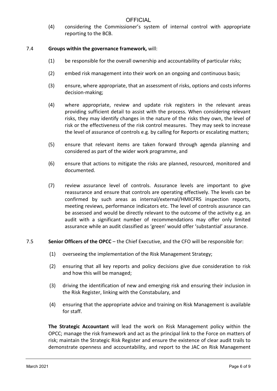(4) considering the Commissioner's system of internal control with appropriate reporting to the BCB.

#### 7.4 **Groups within the governance framework,** will:

- (1) be responsible for the overall ownership and accountability of particular risks;
- (2) embed risk management into their work on an ongoing and continuous basis;
- (3) ensure, where appropriate, that an assessment of risks, options and costs informs decision-making;
- (4) where appropriate, review and update risk registers in the relevant areas providing sufficient detail to assist with the process. When considering relevant risks, they may identify changes in the nature of the risks they own, the level of risk or the effectiveness of the risk control measures. They may seek to increase the level of assurance of controls e.g. by calling for Reports or escalating matters;
- (5) ensure that relevant items are taken forward through agenda planning and considered as part of the wider work programme, and
- (6) ensure that actions to mitigate the risks are planned, resourced, monitored and documented.
- (7) review assurance level of controls. Assurance levels are important to give reassurance and ensure that controls are operating effectively. The levels can be confirmed by such areas as internal/external/HMICFRS inspection reports, meeting reviews, performance indicators etc. The level of controls assurance can be assessed and would be directly relevant to the outcome of the activity e.g. an audit with a significant number of recommendations may offer only limited assurance while an audit classified as 'green' would offer 'substantial' assurance.

#### 7.5 **Senior Officers of the OPCC** – the Chief Executive, and the CFO will be responsible for:

- (1) overseeing the implementation of the Risk Management Strategy;
- (2) ensuring that all key reports and policy decisions give due consideration to risk and how this will be managed;
- (3) driving the identification of new and emerging risk and ensuring their inclusion in the Risk Register, linking with the Constabulary, and
- (4) ensuring that the appropriate advice and training on Risk Management is available for staff.

**The Strategic Accountant** will lead the work on Risk Management policy within the OPCC; manage the risk framework and act as the principal link to the Force on matters of risk; maintain the Strategic Risk Register and ensure the existence of clear audit trails to demonstrate openness and accountability, and report to the JAC on Risk Management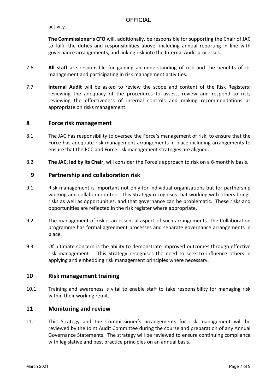activity.

**The Commissioner's CFO** will, additionally, be responsible for supporting the Chair of JAC to fulfil the duties and responsibilities above, including annual reporting in line with governance arrangements, and linking risk into the Internal Audit processes.

- 7.6 **All staff** are responsible for gaining an understanding of risk and the benefits of its management and participating in risk management activities.
- 7.7 **Internal Audit** will be asked to review the scope and content of the Risk Registers; reviewing the adequacy of the procedures to assess, review and respond to risk; reviewing the effectiveness of internal controls and making recommendations as appropriate on risks management.

## **8 Force risk management**

- 8.1 The JAC has responsibility to oversee the Force's management of risk, to ensure that the Force has adequate risk management arrangements in place including arrangements to ensure that the PCC and Force risk management strategies are aligned.
- 8.2 **The JAC, led by its Chair,** will consider the Force's approach to risk on a 6-monthly basis.

#### **9 Partnership and collaboration risk**

- 9.1 Risk management is important not only for individual organisations but for partnership working and collaboration too. This Strategy recognises that working with others brings risks as well as opportunities, and that governance can be problematic. These risks and opportunities are reflected in the risk register where appropriate.
- 9.2 The management of risk is an essential aspect of such arrangements. The Collaboration programme has formal agreement processes and separate governance arrangements in place.
- 9.3 Of ultimate concern is the ability to demonstrate improved outcomes through effective risk management. This Strategy recognises the need to seek to influence others in applying and embedding risk management principles where necessary.

#### **10 Risk management training**

10.1 Training and awareness is vital to enable staff to take responsibility for managing risk within their working remit.

## **11 Monitoring and review**

11.1 This Strategy and the Commissioner's arrangements for risk management will be reviewed by the Joint Audit Committee during the course and preparation of any Annual Governance Statements. The strategy will be reviewed to ensure continuing compliance with legislative and best practice principles on an annual basis.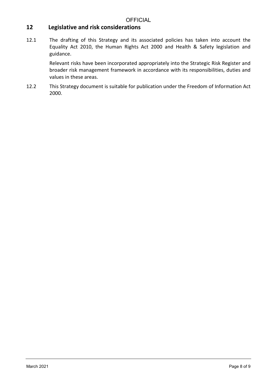# **12 Legislative and risk considerations**

12.1 The drafting of this Strategy and its associated policies has taken into account the Equality Act 2010, the Human Rights Act 2000 and Health & Safety legislation and guidance.

> Relevant risks have been incorporated appropriately into the Strategic Risk Register and broader risk management framework in accordance with its responsibilities, duties and values in these areas.

12.2 This Strategy document is suitable for publication under the Freedom of Information Act 2000.